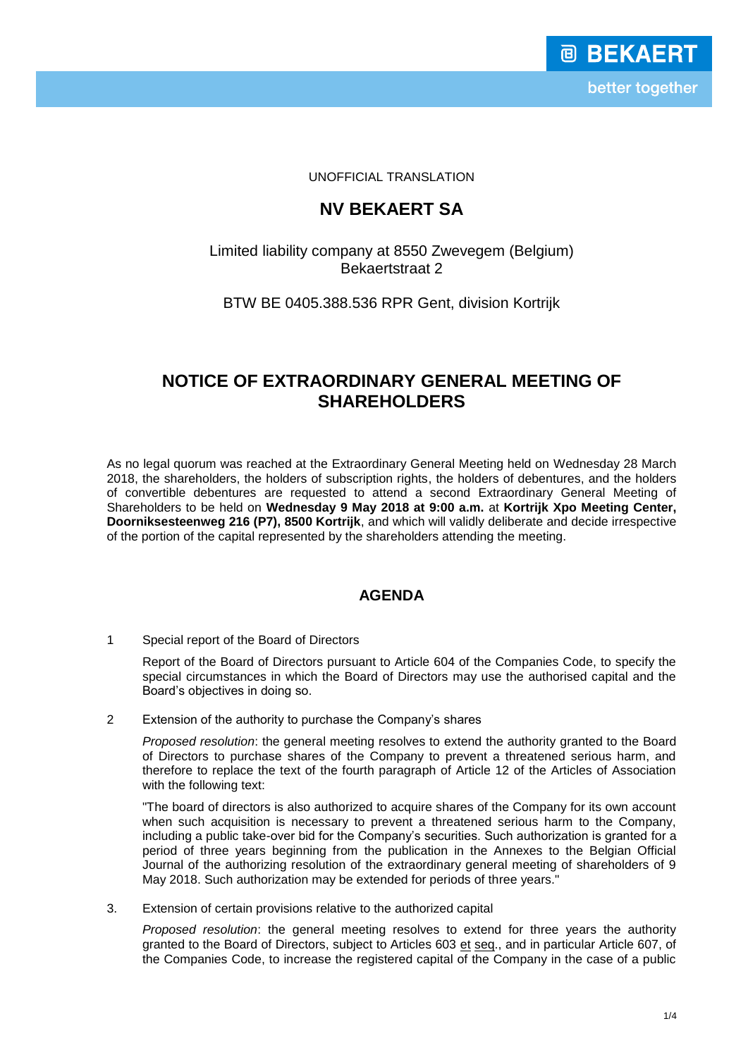UNOFFICIAL TRANSLATION

# **NV BEKAERT SA**

### Limited liability company at 8550 Zwevegem (Belgium) Bekaertstraat 2

### BTW BE 0405.388.536 RPR Gent, division Kortrijk

## **NOTICE OF EXTRAORDINARY GENERAL MEETING OF SHAREHOLDERS**

As no legal quorum was reached at the Extraordinary General Meeting held on Wednesday 28 March 2018, the shareholders, the holders of subscription rights, the holders of debentures, and the holders of convertible debentures are requested to attend a second Extraordinary General Meeting of Shareholders to be held on **Wednesday 9 May 2018 at 9:00 a.m.** at **Kortrijk Xpo Meeting Center, Doorniksesteenweg 216 (P7), 8500 Kortrijk**, and which will validly deliberate and decide irrespective of the portion of the capital represented by the shareholders attending the meeting.

### **AGENDA**

1 Special report of the Board of Directors

Report of the Board of Directors pursuant to Article 604 of the Companies Code, to specify the special circumstances in which the Board of Directors may use the authorised capital and the Board's objectives in doing so.

2 Extension of the authority to purchase the Company's shares

*Proposed resolution*: the general meeting resolves to extend the authority granted to the Board of Directors to purchase shares of the Company to prevent a threatened serious harm, and therefore to replace the text of the fourth paragraph of Article 12 of the Articles of Association with the following text:

"The board of directors is also authorized to acquire shares of the Company for its own account when such acquisition is necessary to prevent a threatened serious harm to the Company, including a public take-over bid for the Company's securities. Such authorization is granted for a period of three years beginning from the publication in the Annexes to the Belgian Official Journal of the authorizing resolution of the extraordinary general meeting of shareholders of 9 May 2018. Such authorization may be extended for periods of three years."

3. Extension of certain provisions relative to the authorized capital

*Proposed resolution*: the general meeting resolves to extend for three years the authority granted to the Board of Directors, subject to Articles 603 et seq., and in particular Article 607, of the Companies Code, to increase the registered capital of the Company in the case of a public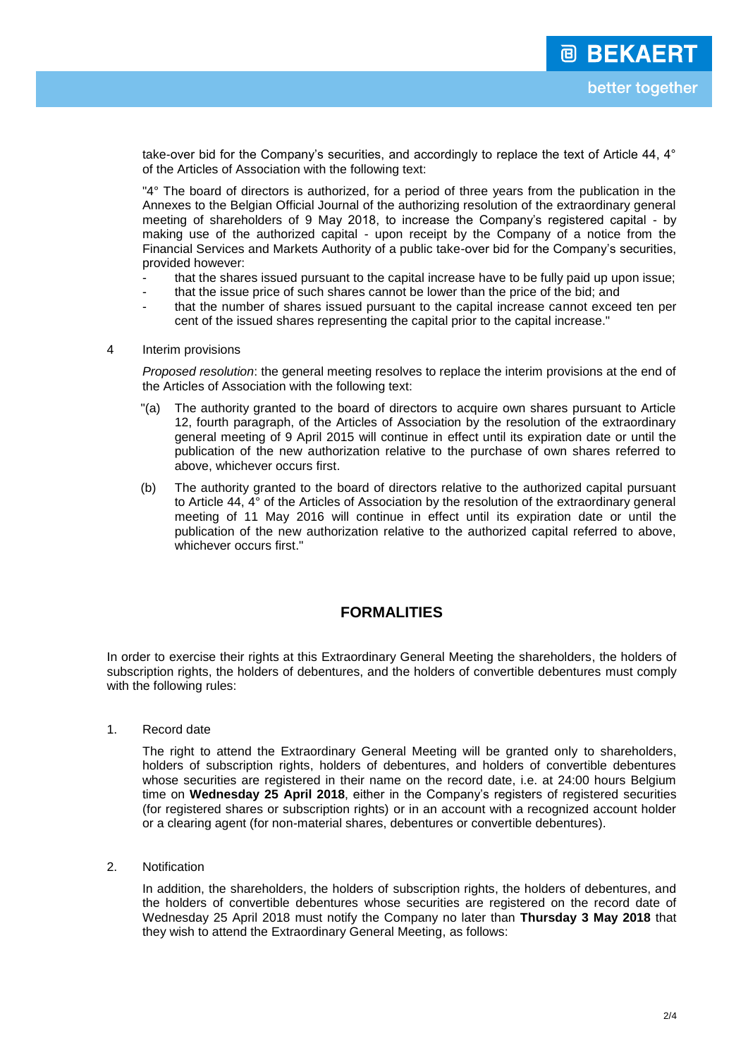take-over bid for the Company's securities, and accordingly to replace the text of Article 44, 4° of the Articles of Association with the following text:

"4° The board of directors is authorized, for a period of three years from the publication in the Annexes to the Belgian Official Journal of the authorizing resolution of the extraordinary general meeting of shareholders of 9 May 2018, to increase the Company's registered capital - by making use of the authorized capital - upon receipt by the Company of a notice from the Financial Services and Markets Authority of a public take-over bid for the Company's securities, provided however:

- that the shares issued pursuant to the capital increase have to be fully paid up upon issue;
- that the issue price of such shares cannot be lower than the price of the bid; and
- that the number of shares issued pursuant to the capital increase cannot exceed ten per cent of the issued shares representing the capital prior to the capital increase."

#### 4 Interim provisions

*Proposed resolution*: the general meeting resolves to replace the interim provisions at the end of the Articles of Association with the following text:

- "(a) The authority granted to the board of directors to acquire own shares pursuant to Article 12, fourth paragraph, of the Articles of Association by the resolution of the extraordinary general meeting of 9 April 2015 will continue in effect until its expiration date or until the publication of the new authorization relative to the purchase of own shares referred to above, whichever occurs first.
- (b) The authority granted to the board of directors relative to the authorized capital pursuant to Article 44, 4° of the Articles of Association by the resolution of the extraordinary general meeting of 11 May 2016 will continue in effect until its expiration date or until the publication of the new authorization relative to the authorized capital referred to above, whichever occurs first."

#### **FORMALITIES**

In order to exercise their rights at this Extraordinary General Meeting the shareholders, the holders of subscription rights, the holders of debentures, and the holders of convertible debentures must comply with the following rules:

1. Record date

The right to attend the Extraordinary General Meeting will be granted only to shareholders, holders of subscription rights, holders of debentures, and holders of convertible debentures whose securities are registered in their name on the record date, i.e. at 24:00 hours Belgium time on **Wednesday 25 April 2018**, either in the Company's registers of registered securities (for registered shares or subscription rights) or in an account with a recognized account holder or a clearing agent (for non-material shares, debentures or convertible debentures).

2. Notification

In addition, the shareholders, the holders of subscription rights, the holders of debentures, and the holders of convertible debentures whose securities are registered on the record date of Wednesday 25 April 2018 must notify the Company no later than **Thursday 3 May 2018** that they wish to attend the Extraordinary General Meeting, as follows: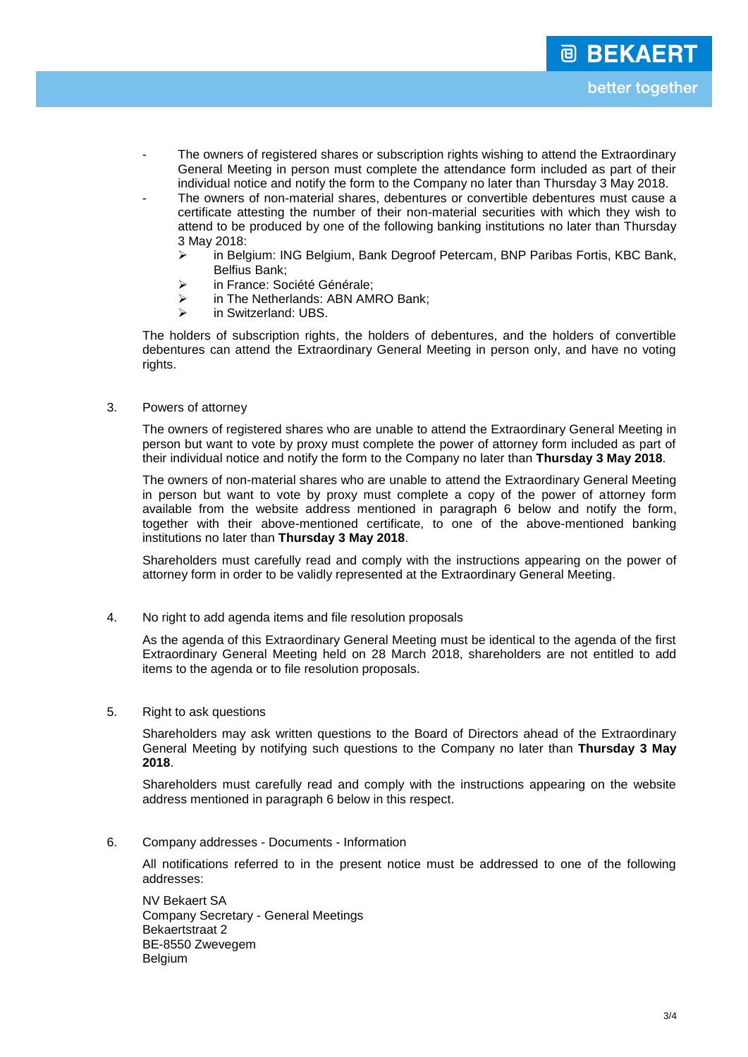- The owners of registered shares or subscription rights wishing to attend the Extraordinary General Meeting in person must complete the attendance form included as part of their individual notice and notify the form to the Company no later than Thursday 3 May 2018.
- The owners of non-material shares, debentures or convertible debentures must cause a certificate attesting the number of their non-material securities with which they wish to attend to be produced by one of the following banking institutions no later than Thursday 3 May 2018:
	- in Belgium: ING Belgium, Bank Degroof Petercam, BNP Paribas Fortis, KBC Bank, Belfius Bank;
	- > in France: Société Générale:
	- $\triangleright$  in The Netherlands: ABN AMRO Bank:
	- > in Switzerland: UBS.

The holders of subscription rights, the holders of debentures, and the holders of convertible debentures can attend the Extraordinary General Meeting in person only, and have no voting rights.

#### 3. Powers of attorney

The owners of registered shares who are unable to attend the Extraordinary General Meeting in person but want to vote by proxy must complete the power of attorney form included as part of their individual notice and notify the form to the Company no later than **Thursday 3 May 2018**.

The owners of non-material shares who are unable to attend the Extraordinary General Meeting in person but want to vote by proxy must complete a copy of the power of attorney form available from the website address mentioned in paragraph 6 below and notify the form, together with their above-mentioned certificate, to one of the above-mentioned banking institutions no later than **Thursday 3 May 2018**.

Shareholders must carefully read and comply with the instructions appearing on the power of attorney form in order to be validly represented at the Extraordinary General Meeting.

4. No right to add agenda items and file resolution proposals

As the agenda of this Extraordinary General Meeting must be identical to the agenda of the first Extraordinary General Meeting held on 28 March 2018, shareholders are not entitled to add items to the agenda or to file resolution proposals.

#### 5. Right to ask questions

Shareholders may ask written questions to the Board of Directors ahead of the Extraordinary General Meeting by notifying such questions to the Company no later than **Thursday 3 May 2018**.

Shareholders must carefully read and comply with the instructions appearing on the website address mentioned in paragraph 6 below in this respect.

6. Company addresses - Documents - Information

All notifications referred to in the present notice must be addressed to one of the following addresses:

NV Bekaert SA Company Secretary - General Meetings Bekaertstraat 2 BE-8550 Zwevegem Belgium